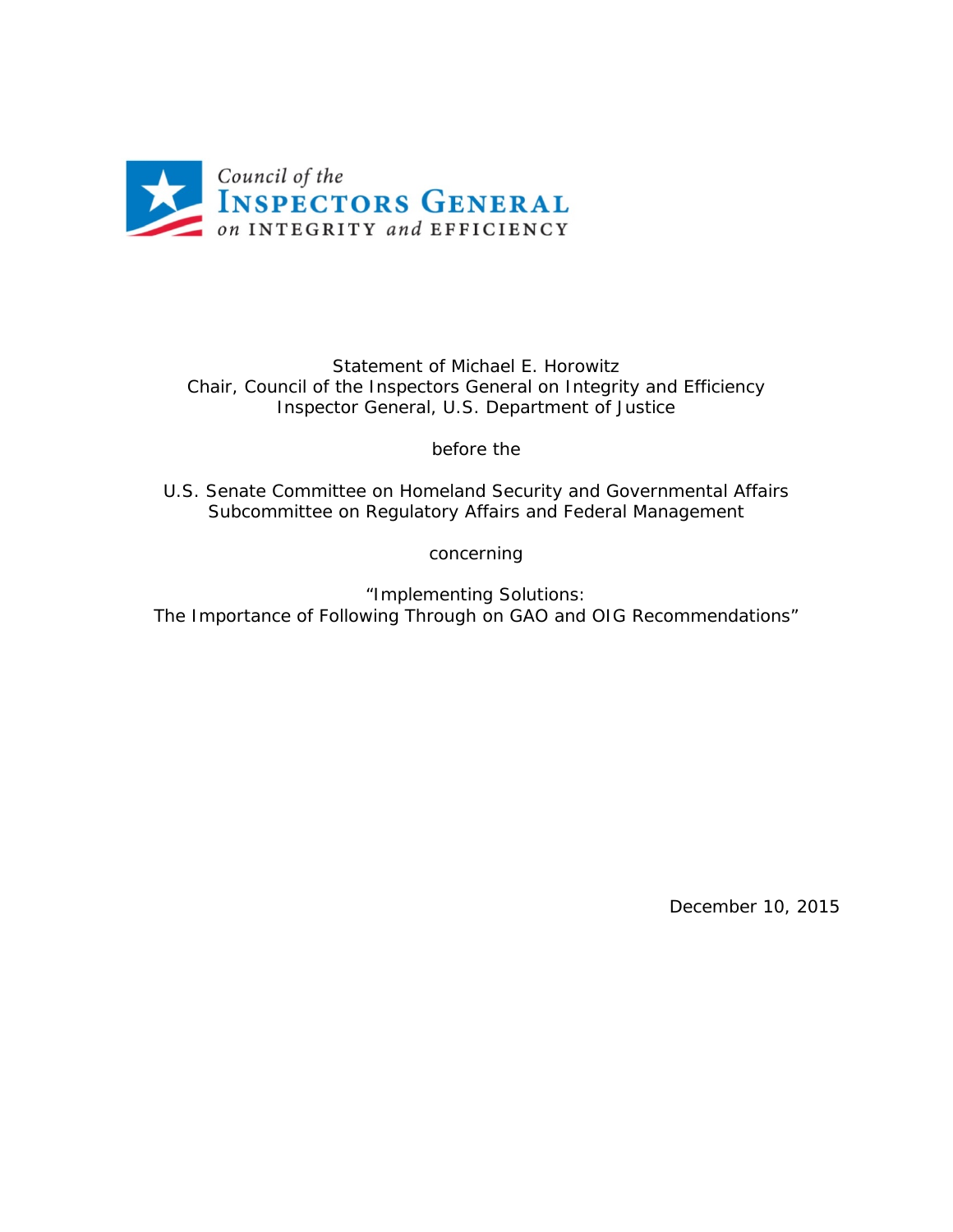

## Statement of Michael E. Horowitz Chair, Council of the Inspectors General on Integrity and Efficiency Inspector General, U.S. Department of Justice

*before the*

U.S. Senate Committee on Homeland Security and Governmental Affairs Subcommittee on Regulatory Affairs and Federal Management

# *concerning*

"Implementing Solutions: The Importance of Following Through on GAO and OIG Recommendations"

December 10, 2015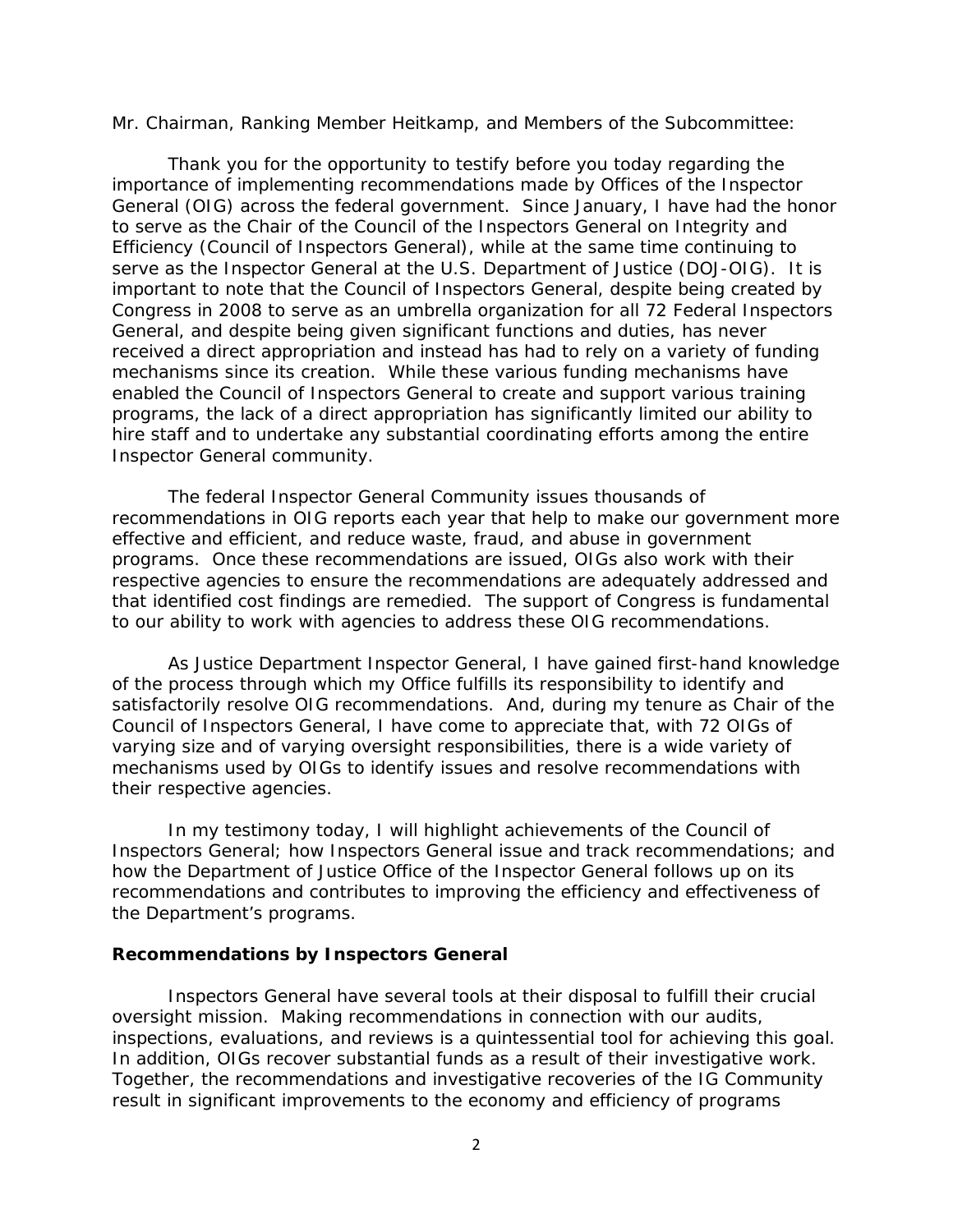Mr. Chairman, Ranking Member Heitkamp, and Members of the Subcommittee:

Thank you for the opportunity to testify before you today regarding the importance of implementing recommendations made by Offices of the Inspector General (OIG) across the federal government. Since January, I have had the honor to serve as the Chair of the Council of the Inspectors General on Integrity and Efficiency (Council of Inspectors General), while at the same time continuing to serve as the Inspector General at the U.S. Department of Justice (DOJ-OIG). It is important to note that the Council of Inspectors General, despite being created by Congress in 2008 to serve as an umbrella organization for all 72 Federal Inspectors General, and despite being given significant functions and duties, has never received a direct appropriation and instead has had to rely on a variety of funding mechanisms since its creation. While these various funding mechanisms have enabled the Council of Inspectors General to create and support various training programs, the lack of a direct appropriation has significantly limited our ability to hire staff and to undertake any substantial coordinating efforts among the entire Inspector General community.

The federal Inspector General Community issues thousands of recommendations in OIG reports each year that help to make our government more effective and efficient, and reduce waste, fraud, and abuse in government programs. Once these recommendations are issued, OIGs also work with their respective agencies to ensure the recommendations are adequately addressed and that identified cost findings are remedied. The support of Congress is fundamental to our ability to work with agencies to address these OIG recommendations.

As Justice Department Inspector General, I have gained first-hand knowledge of the process through which my Office fulfills its responsibility to identify and satisfactorily resolve OIG recommendations. And, during my tenure as Chair of the Council of Inspectors General, I have come to appreciate that, with 72 OIGs of varying size and of varying oversight responsibilities, there is a wide variety of mechanisms used by OIGs to identify issues and resolve recommendations with their respective agencies.

In my testimony today, I will highlight achievements of the Council of Inspectors General; how Inspectors General issue and track recommendations; and how the Department of Justice Office of the Inspector General follows up on its recommendations and contributes to improving the efficiency and effectiveness of the Department's programs.

#### **Recommendations by Inspectors General**

Inspectors General have several tools at their disposal to fulfill their crucial oversight mission. Making recommendations in connection with our audits, inspections, evaluations, and reviews is a quintessential tool for achieving this goal. In addition, OIGs recover substantial funds as a result of their investigative work. Together, the recommendations and investigative recoveries of the IG Community result in significant improvements to the economy and efficiency of programs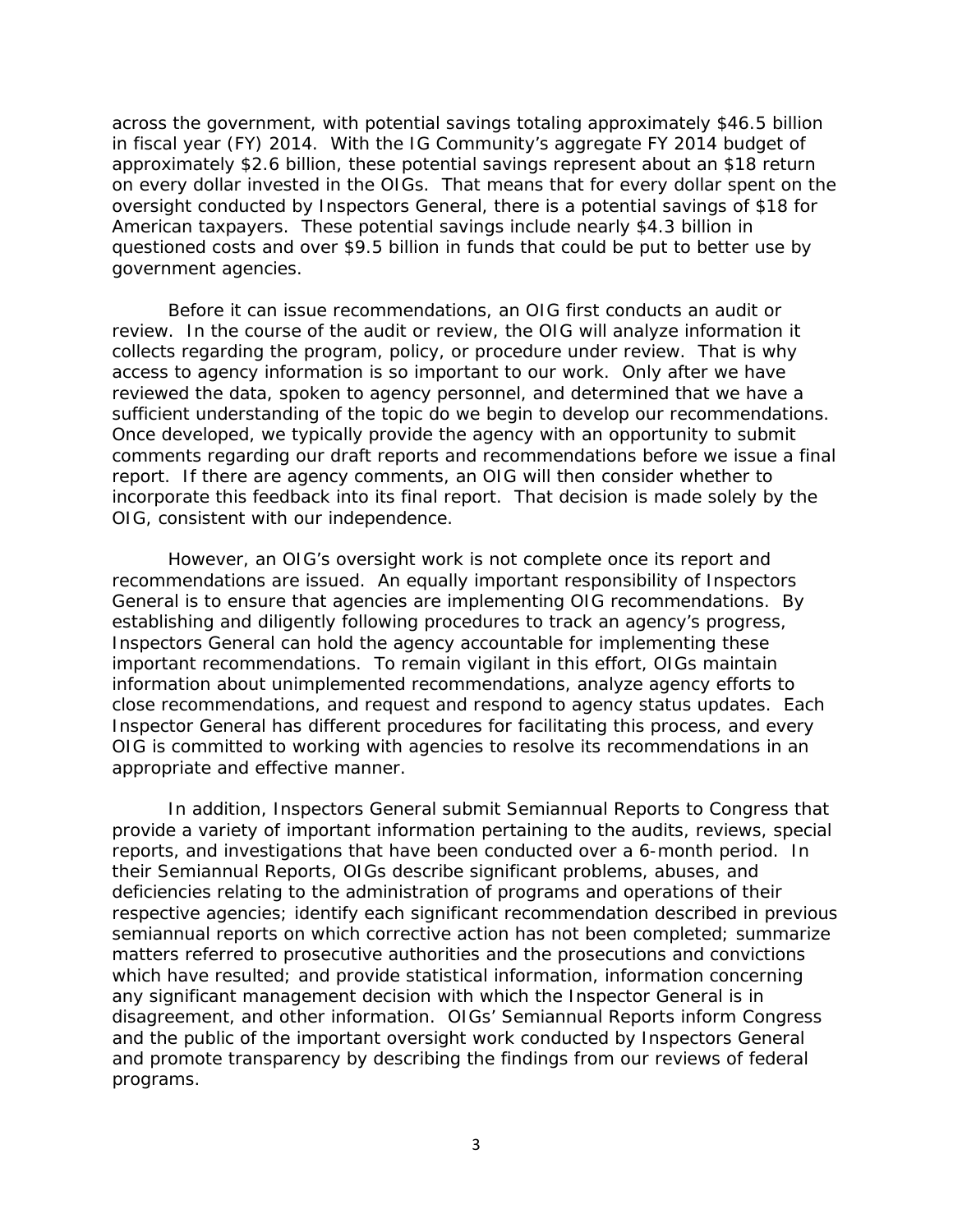across the government, with potential savings totaling approximately \$46.5 billion in fiscal year (FY) 2014. With the IG Community's aggregate FY 2014 budget of approximately \$2.6 billion, these potential savings represent about an \$18 return on every dollar invested in the OIGs. That means that for every dollar spent on the oversight conducted by Inspectors General, there is a potential savings of \$18 for American taxpayers. These potential savings include nearly \$4.3 billion in questioned costs and over \$9.5 billion in funds that could be put to better use by government agencies.

Before it can issue recommendations, an OIG first conducts an audit or review. In the course of the audit or review, the OIG will analyze information it collects regarding the program, policy, or procedure under review. That is why access to agency information is so important to our work. Only after we have reviewed the data, spoken to agency personnel, and determined that we have a sufficient understanding of the topic do we begin to develop our recommendations. Once developed, we typically provide the agency with an opportunity to submit comments regarding our draft reports and recommendations before we issue a final report. If there are agency comments, an OIG will then consider whether to incorporate this feedback into its final report. That decision is made solely by the OIG, consistent with our independence.

However, an OIG's oversight work is not complete once its report and recommendations are issued. An equally important responsibility of Inspectors General is to ensure that agencies are implementing OIG recommendations. By establishing and diligently following procedures to track an agency's progress, Inspectors General can hold the agency accountable for implementing these important recommendations. To remain vigilant in this effort, OIGs maintain information about unimplemented recommendations, analyze agency efforts to close recommendations, and request and respond to agency status updates. Each Inspector General has different procedures for facilitating this process, and every OIG is committed to working with agencies to resolve its recommendations in an appropriate and effective manner.

In addition, Inspectors General submit Semiannual Reports to Congress that provide a variety of important information pertaining to the audits, reviews, special reports, and investigations that have been conducted over a 6-month period. In their Semiannual Reports, OIGs describe significant problems, abuses, and deficiencies relating to the administration of programs and operations of their respective agencies; identify each significant recommendation described in previous semiannual reports on which corrective action has not been completed; summarize matters referred to prosecutive authorities and the prosecutions and convictions which have resulted; and provide statistical information, information concerning any significant management decision with which the Inspector General is in disagreement, and other information. OIGs' Semiannual Reports inform Congress and the public of the important oversight work conducted by Inspectors General and promote transparency by describing the findings from our reviews of federal programs.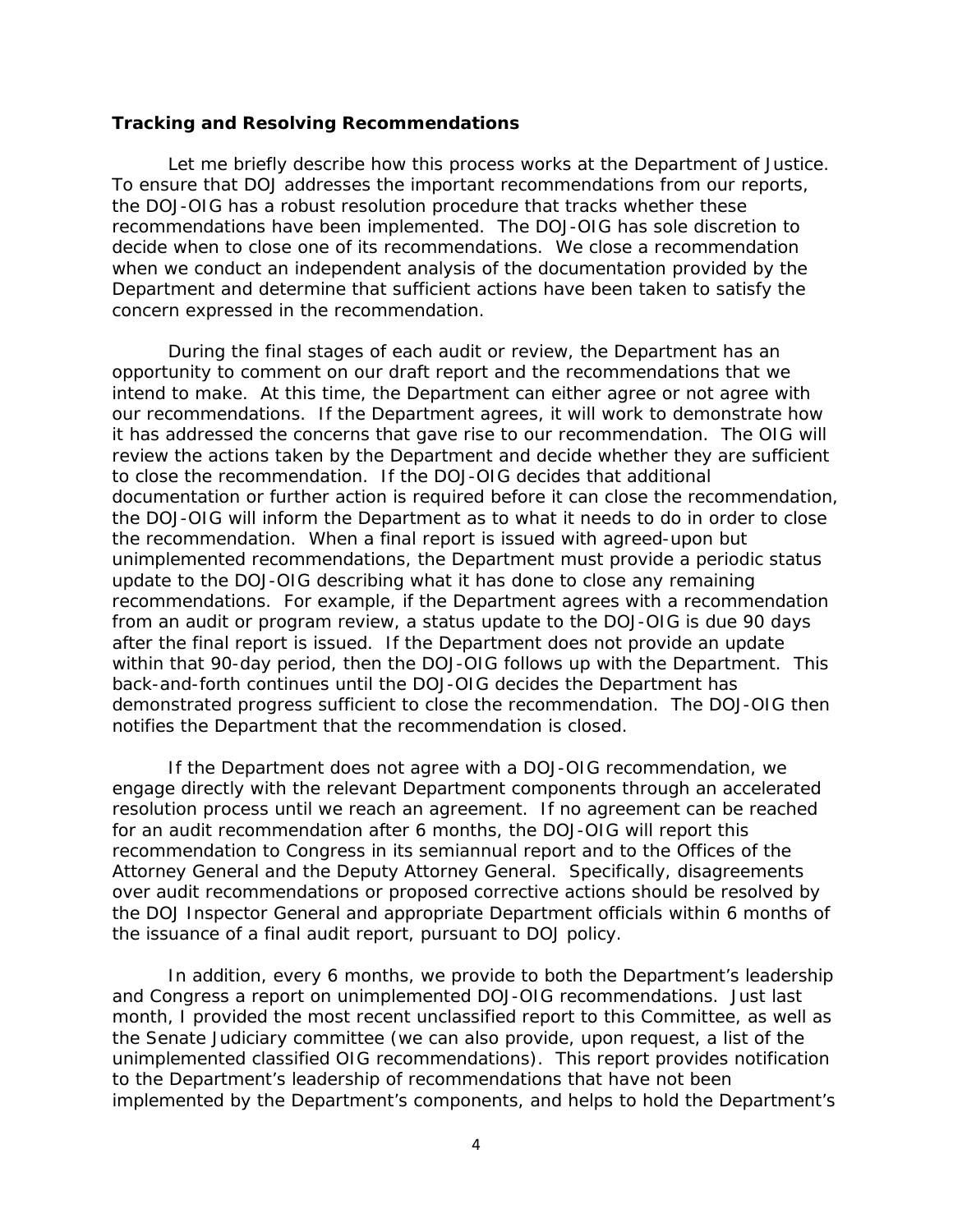#### **Tracking and Resolving Recommendations**

Let me briefly describe how this process works at the Department of Justice. To ensure that DOJ addresses the important recommendations from our reports, the DOJ-OIG has a robust resolution procedure that tracks whether these recommendations have been implemented. The DOJ-OIG has sole discretion to decide when to close one of its recommendations. We close a recommendation when we conduct an independent analysis of the documentation provided by the Department and determine that sufficient actions have been taken to satisfy the concern expressed in the recommendation.

During the final stages of each audit or review, the Department has an opportunity to comment on our draft report and the recommendations that we intend to make. At this time, the Department can either agree or not agree with our recommendations. If the Department agrees, it will work to demonstrate how it has addressed the concerns that gave rise to our recommendation. The OIG will review the actions taken by the Department and decide whether they are sufficient to close the recommendation. If the DOJ-OIG decides that additional documentation or further action is required before it can close the recommendation, the DOJ-OIG will inform the Department as to what it needs to do in order to close the recommendation. When a final report is issued with agreed-upon but unimplemented recommendations, the Department must provide a periodic status update to the DOJ-OIG describing what it has done to close any remaining recommendations. For example, if the Department agrees with a recommendation from an audit or program review, a status update to the DOJ-OIG is due 90 days after the final report is issued. If the Department does not provide an update within that 90-day period, then the DOJ-OIG follows up with the Department. This back-and-forth continues until the DOJ-OIG decides the Department has demonstrated progress sufficient to close the recommendation. The DOJ-OIG then notifies the Department that the recommendation is closed.

If the Department does not agree with a DOJ-OIG recommendation, we engage directly with the relevant Department components through an accelerated resolution process until we reach an agreement. If no agreement can be reached for an audit recommendation after 6 months, the DOJ-OIG will report this recommendation to Congress in its semiannual report and to the Offices of the Attorney General and the Deputy Attorney General. Specifically, disagreements over audit recommendations or proposed corrective actions should be resolved by the DOJ Inspector General and appropriate Department officials within 6 months of the issuance of a final audit report, pursuant to DOJ policy.

In addition, every 6 months, we provide to both the Department's leadership and Congress a report on unimplemented DOJ-OIG recommendations. Just last month, I provided the most recent unclassified report to this Committee, as well as the Senate Judiciary committee (we can also provide, upon request, a list of the unimplemented classified OIG recommendations). This report provides notification to the Department's leadership of recommendations that have not been implemented by the Department's components, and helps to hold the Department's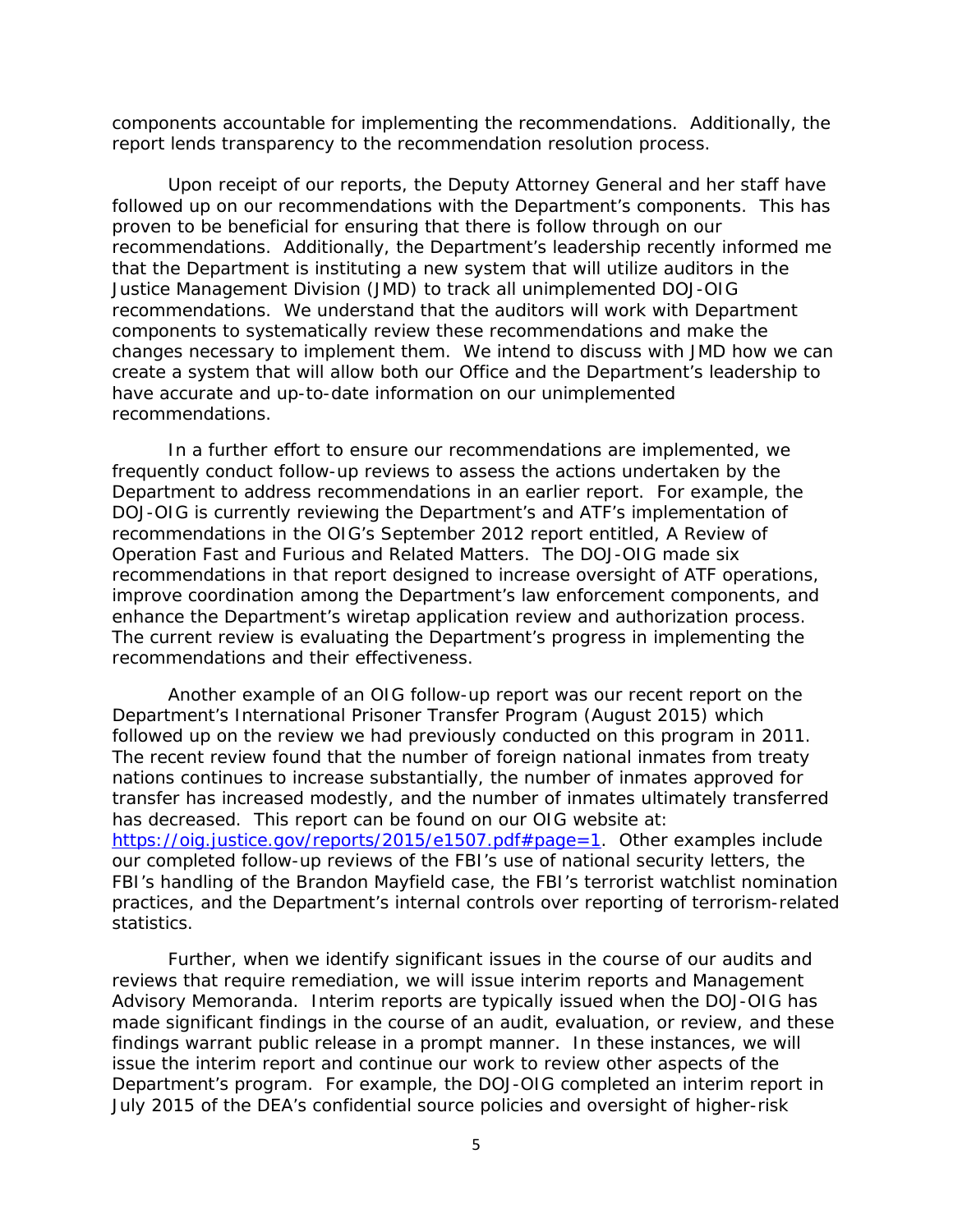components accountable for implementing the recommendations. Additionally, the report lends transparency to the recommendation resolution process.

Upon receipt of our reports, the Deputy Attorney General and her staff have followed up on our recommendations with the Department's components. This has proven to be beneficial for ensuring that there is follow through on our recommendations. Additionally, the Department's leadership recently informed me that the Department is instituting a new system that will utilize auditors in the Justice Management Division (JMD) to track all unimplemented DOJ-OIG recommendations. We understand that the auditors will work with Department components to systematically review these recommendations and make the changes necessary to implement them. We intend to discuss with JMD how we can create a system that will allow both our Office and the Department's leadership to have accurate and up-to-date information on our unimplemented recommendations.

In a further effort to ensure our recommendations are implemented, we frequently conduct follow-up reviews to assess the actions undertaken by the Department to address recommendations in an earlier report. For example, the DOJ-OIG is currently reviewing the Department's and ATF's implementation of recommendations in the OIG's September 2012 report entitled, *A Review of Operation Fast and Furious and Related Matters*. The DOJ-OIG made six recommendations in that report designed to increase oversight of ATF operations, improve coordination among the Department's law enforcement components, and enhance the Department's wiretap application review and authorization process. The current review is evaluating the Department's progress in implementing the recommendations and their effectiveness.

Another example of an OIG follow-up report was our recent report on the Department's International Prisoner Transfer Program (August 2015) which followed up on the review we had previously conducted on this program in 2011. The recent review found that the number of foreign national inmates from treaty nations continues to increase substantially, the number of inmates approved for transfer has increased modestly, and the number of inmates ultimately transferred has decreased. This report can be found on our OIG website at: [https://oig.justice.gov/reports/2015/e1507.pdf#page=1.](https://oig.justice.gov/reports/2015/e1507.pdf#page=1) Other examples include our completed follow-up reviews of the FBI's use of national security letters, the FBI's handling of the Brandon Mayfield case, the FBI's terrorist watchlist nomination practices, and the Department's internal controls over reporting of terrorism-related statistics.

Further, when we identify significant issues in the course of our audits and reviews that require remediation, we will issue interim reports and Management Advisory Memoranda. Interim reports are typically issued when the DOJ-OIG has made significant findings in the course of an audit, evaluation, or review, and these findings warrant public release in a prompt manner. In these instances, we will issue the interim report and continue our work to review other aspects of the Department's program. For example, the DOJ-OIG completed an interim report in July 2015 of the DEA's confidential source policies and oversight of higher-risk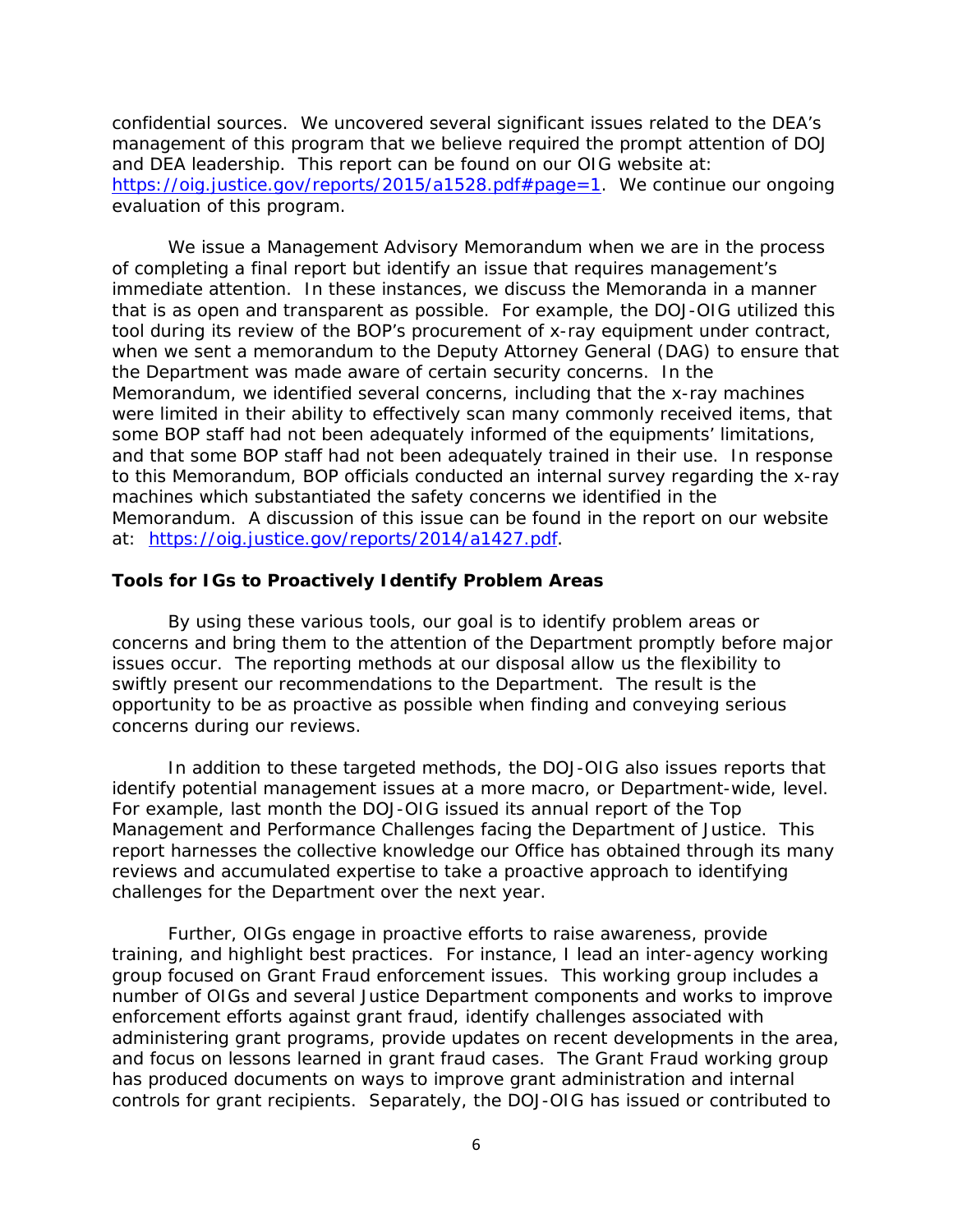confidential sources. We uncovered several significant issues related to the DEA's management of this program that we believe required the prompt attention of DOJ and DEA leadership. This report can be found on our OIG website at: [https://oig.justice.gov/reports/2015/a1528.pdf#page=1.](https://oig.justice.gov/reports/2015/a1528.pdf#page=1) We continue our ongoing evaluation of this program.

We issue a Management Advisory Memorandum when we are in the process of completing a final report but identify an issue that requires management's immediate attention. In these instances, we discuss the Memoranda in a manner that is as open and transparent as possible. For example, the DOJ-OIG utilized this tool during its review of the BOP's procurement of x-ray equipment under contract, when we sent a memorandum to the Deputy Attorney General (DAG) to ensure that the Department was made aware of certain security concerns. In the Memorandum, we identified several concerns, including that the x-ray machines were limited in their ability to effectively scan many commonly received items, that some BOP staff had not been adequately informed of the equipments' limitations, and that some BOP staff had not been adequately trained in their use. In response to this Memorandum, BOP officials conducted an internal survey regarding the x-ray machines which substantiated the safety concerns we identified in the Memorandum. A discussion of this issue can be found in the report on our website at: [https://oig.justice.gov/reports/2014/a1427.pdf.](https://oig.justice.gov/reports/2014/a1427.pdf)

### **Tools for IGs to Proactively Identify Problem Areas**

By using these various tools, our goal is to identify problem areas or concerns and bring them to the attention of the Department promptly before major issues occur. The reporting methods at our disposal allow us the flexibility to swiftly present our recommendations to the Department. The result is the opportunity to be as proactive as possible when finding and conveying serious concerns during our reviews.

In addition to these targeted methods, the DOJ-OIG also issues reports that identify potential management issues at a more macro, or Department-wide, level. For example, last month the DOJ-OIG issued its annual report of the Top Management and Performance Challenges facing the Department of Justice. This report harnesses the collective knowledge our Office has obtained through its many reviews and accumulated expertise to take a proactive approach to identifying challenges for the Department over the next year.

Further, OIGs engage in proactive efforts to raise awareness, provide training, and highlight best practices. For instance, I lead an inter-agency working group focused on Grant Fraud enforcement issues. This working group includes a number of OIGs and several Justice Department components and works to improve enforcement efforts against grant fraud, identify challenges associated with administering grant programs, provide updates on recent developments in the area, and focus on lessons learned in grant fraud cases. The Grant Fraud working group has produced documents on ways to improve grant administration and internal controls for grant recipients. Separately, the DOJ-OIG has issued or contributed to